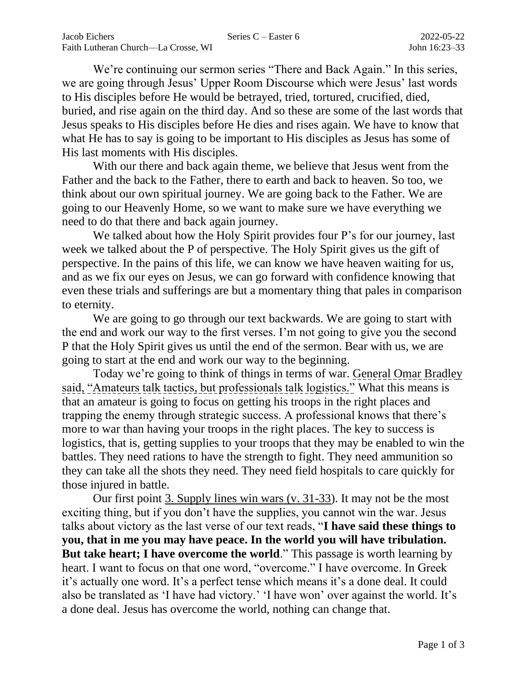We're continuing our sermon series "There and Back Again." In this series, we are going through Jesus' Upper Room Discourse which were Jesus' last words to His disciples before He would be betrayed, tried, tortured, crucified, died, buried, and rise again on the third day. And so these are some of the last words that Jesus speaks to His disciples before He dies and rises again. We have to know that what He has to say is going to be important to His disciples as Jesus has some of His last moments with His disciples.

With our there and back again theme, we believe that Jesus went from the Father and the back to the Father, there to earth and back to heaven. So too, we think about our own spiritual journey. We are going back to the Father. We are going to our Heavenly Home, so we want to make sure we have everything we need to do that there and back again journey.

We talked about how the Holy Spirit provides four P's for our journey, last week we talked about the P of perspective. The Holy Spirit gives us the gift of perspective. In the pains of this life, we can know we have heaven waiting for us, and as we fix our eyes on Jesus, we can go forward with confidence knowing that even these trials and sufferings are but a momentary thing that pales in comparison to eternity.

We are going to go through our text backwards. We are going to start with the end and work our way to the first verses. I'm not going to give you the second P that the Holy Spirit gives us until the end of the sermon. Bear with us, we are going to start at the end and work our way to the beginning.

Today we're going to think of things in terms of war. General Omar Bradley said, "Amateurs talk tactics, but professionals talk logistics." What this means is that an amateur is going to focus on getting his troops in the right places and trapping the enemy through strategic success. A professional knows that there's more to war than having your troops in the right places. The key to success is logistics, that is, getting supplies to your troops that they may be enabled to win the battles. They need rations to have the strength to fight. They need ammunition so they can take all the shots they need. They need field hospitals to care quickly for those injured in battle.

Our first point 3. Supply lines win wars (v. 31-33). It may not be the most exciting thing, but if you don't have the supplies, you cannot win the war. Jesus talks about victory as the last verse of our text reads, "**I have said these things to you, that in me you may have peace. In the world you will have tribulation. But take heart; I have overcome the world.**" This passage is worth learning by heart. I want to focus on that one word, "overcome." I have overcome. In Greek it's actually one word. It's a perfect tense which means it's a done deal. It could also be translated as 'I have had victory.' 'I have won' over against the world. It's a done deal. Jesus has overcome the world, nothing can change that.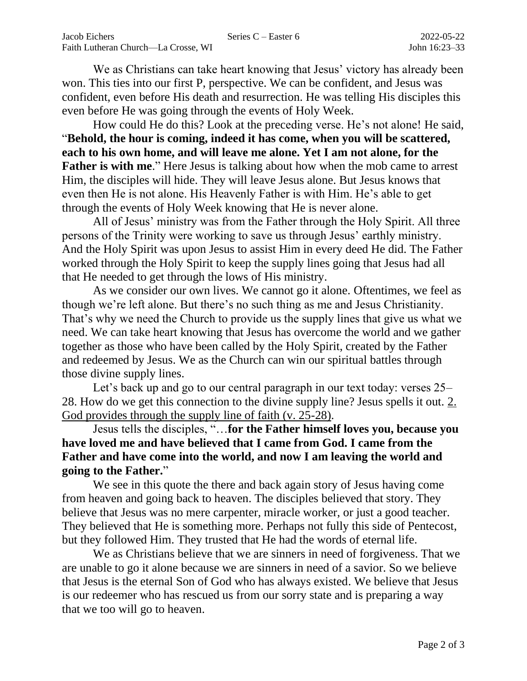We as Christians can take heart knowing that Jesus' victory has already been won. This ties into our first P, perspective. We can be confident, and Jesus was confident, even before His death and resurrection. He was telling His disciples this even before He was going through the events of Holy Week.

How could He do this? Look at the preceding verse. He's not alone! He said, "**Behold, the hour is coming, indeed it has come, when you will be scattered, each to his own home, and will leave me alone. Yet I am not alone, for the Father is with me.**" Here Jesus is talking about how when the mob came to arrest Him, the disciples will hide. They will leave Jesus alone. But Jesus knows that even then He is not alone. His Heavenly Father is with Him. He's able to get through the events of Holy Week knowing that He is never alone.

All of Jesus' ministry was from the Father through the Holy Spirit. All three persons of the Trinity were working to save us through Jesus' earthly ministry. And the Holy Spirit was upon Jesus to assist Him in every deed He did. The Father worked through the Holy Spirit to keep the supply lines going that Jesus had all that He needed to get through the lows of His ministry.

As we consider our own lives. We cannot go it alone. Oftentimes, we feel as though we're left alone. But there's no such thing as me and Jesus Christianity. That's why we need the Church to provide us the supply lines that give us what we need. We can take heart knowing that Jesus has overcome the world and we gather together as those who have been called by the Holy Spirit, created by the Father and redeemed by Jesus. We as the Church can win our spiritual battles through those divine supply lines.

Let's back up and go to our central paragraph in our text today: verses 25– 28. How do we get this connection to the divine supply line? Jesus spells it out. 2. God provides through the supply line of faith (v. 25-28).

Jesus tells the disciples, "…**for the Father himself loves you, because you have loved me and have believed that I came from God. I came from the Father and have come into the world, and now I am leaving the world and going to the Father.**"

We see in this quote the there and back again story of Jesus having come from heaven and going back to heaven. The disciples believed that story. They believe that Jesus was no mere carpenter, miracle worker, or just a good teacher. They believed that He is something more. Perhaps not fully this side of Pentecost, but they followed Him. They trusted that He had the words of eternal life.

We as Christians believe that we are sinners in need of forgiveness. That we are unable to go it alone because we are sinners in need of a savior. So we believe that Jesus is the eternal Son of God who has always existed. We believe that Jesus is our redeemer who has rescued us from our sorry state and is preparing a way that we too will go to heaven.